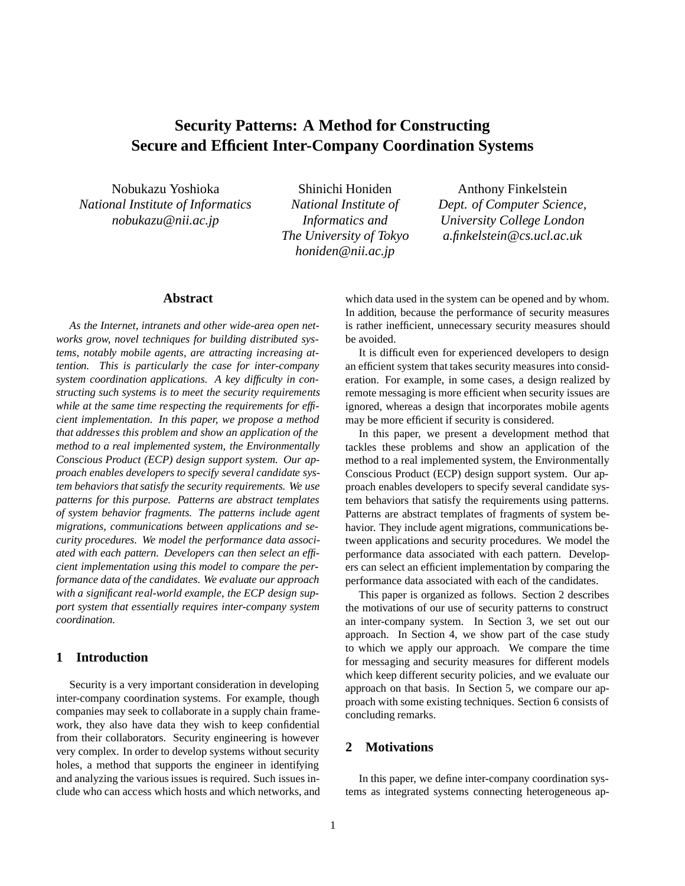# **Security Patterns: A Method for Constructing Secure and Efficient Inter-Company Coordination Systems**

Nobukazu Yoshioka *National Institute of Informatics nobukazu@nii.ac.jp*

Shinichi Honiden *National Institute of Informatics and The University of Tokyo honiden@nii.ac.jp*

Anthony Finkelstein *Dept. of Computer Science, University College London a.finkelstein@cs.ucl.ac.uk*

## **Abstract**

*As the Internet, intranets and other wide-area open networks grow, novel techniques for building distributed systems, notably mobile agents, are attracting increasing attention. This is particularly the case for inter-company system coordination applications. A key difficulty in constructing such systems is to meet the security requirements while at the same time respecting the requirements for efficient implementation. In this paper, we propose a method that addresses this problem and show an application of the method to a real implemented system, the Environmentally Conscious Product (ECP) design support system. Our approach enables developers to specify several candidate system behaviors that satisfy the security requirements. We use patterns for this purpose. Patterns are abstract templates of system behavior fragments. The patterns include agent migrations, communications between applications and security procedures. We model the performance data associated with each pattern. Developers can then select an efficient implementation using this model to compare the performance data of the candidates. We evaluate our approach with a significant real-world example, the ECP design support system that essentially requires inter-company system coordination.*

## **1 Introduction**

Security is a very important consideration in developing inter-company coordination systems. For example, though companies may seek to collaborate in a supply chain framework, they also have data they wish to keep confidential from their collaborators. Security engineering is however very complex. In order to develop systems without security holes, a method that supports the engineer in identifying and analyzing the various issues is required. Such issues include who can access which hosts and which networks, and which data used in the system can be opened and by whom. In addition, because the performance of security measures is rather inefficient, unnecessary security measures should be avoided.

It is difficult even for experienced developers to design an efficient system that takes security measures into consideration. For example, in some cases, a design realized by remote messaging is more efficient when security issues are ignored, whereas a design that incorporates mobile agents may be more efficient if security is considered.

In this paper, we present a development method that tackles these problems and show an application of the method to a real implemented system, the Environmentally Conscious Product (ECP) design support system. Our approach enables developers to specify several candidate system behaviors that satisfy the requirements using patterns. Patterns are abstract templates of fragments of system behavior. They include agent migrations, communications between applications and security procedures. We model the performance data associated with each pattern. Developers can select an efficient implementation by comparing the performance data associated with each of the candidates.

This paper is organized as follows. Section 2 describes the motivations of our use of security patterns to construct an inter-company system. In Section 3, we set out our approach. In Section 4, we show part of the case study to which we apply our approach. We compare the time for messaging and security measures for different models which keep different security policies, and we evaluate our approach on that basis. In Section 5, we compare our approach with some existing techniques. Section 6 consists of concluding remarks.

## **2 Motivations**

In this paper, we define inter-company coordination systems as integrated systems connecting heterogeneous ap-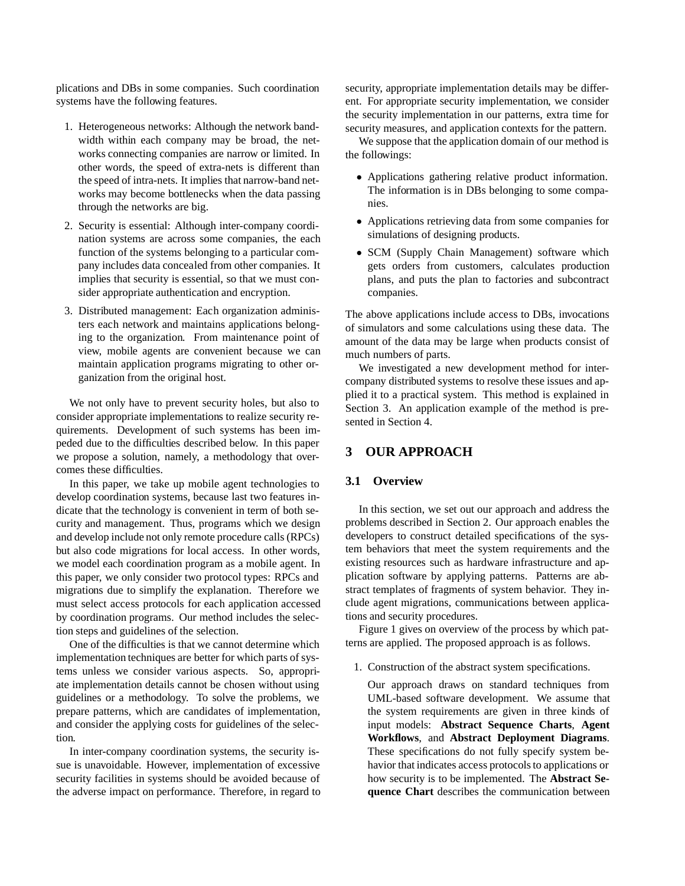plications and DBs in some companies. Such coordination systems have the following features.

- 1. Heterogeneous networks: Although the network bandwidth within each company may be broad, the networks connecting companies are narrow or limited. In other words, the speed of extra-nets is different than the speed of intra-nets. It implies that narrow-band networks may become bottlenecks when the data passing through the networks are big.
- 2. Security is essential: Although inter-company coordination systems are across some companies, the each function of the systems belonging to a particular company includes data concealed from other companies. It implies that security is essential, so that we must consider appropriate authentication and encryption.
- 3. Distributed management: Each organization administers each network and maintains applications belonging to the organization. From maintenance point of view, mobile agents are convenient because we can maintain application programs migrating to other organization from the original host.

We not only have to prevent security holes, but also to consider appropriate implementations to realize security requirements. Development of such systems has been impeded due to the difficulties described below. In this paper we propose a solution, namely, a methodology that overcomes these difficulties.

In this paper, we take up mobile agent technologies to develop coordination systems, because last two features indicate that the technology is convenient in term of both security and management. Thus, programs which we design and develop include not only remote procedure calls (RPCs) but also code migrations for local access. In other words, we model each coordination program as a mobile agent. In this paper, we only consider two protocol types: RPCs and migrations due to simplify the explanation. Therefore we must select access protocols for each application accessed by coordination programs. Our method includes the selection steps and guidelines of the selection.

One of the difficulties is that we cannot determine which implementation techniques are better for which parts of systems unless we consider various aspects. So, appropriate implementation details cannot be chosen without using guidelines or a methodology. To solve the problems, we prepare patterns, which are candidates of implementation, and consider the applying costs for guidelines of the selection.

In inter-company coordination systems, the security issue is unavoidable. However, implementation of excessive security facilities in systems should be avoided because of the adverse impact on performance. Therefore, in regard to security, appropriate implementation details may be different. For appropriate security implementation, we consider the security implementation in our patterns, extra time for security measures, and application contexts for the pattern.

We suppose that the application domain of our method is the followings:

- Applications gathering relative product information. The information is in DBs belonging to some companies.
- Applications retrieving data from some companies for simulations of designing products.
- SCM (Supply Chain Management) software which gets orders from customers, calculates production plans, and puts the plan to factories and subcontract companies.

The above applications include access to DBs, invocations of simulators and some calculations using these data. The amount of the data may be large when products consist of much numbers of parts.

We investigated a new development method for intercompany distributed systems to resolve these issues and applied it to a practical system. This method is explained in Section 3. An application example of the method is presented in Section 4.

# **3 OUR APPROACH**

## **3.1 Overview**

In this section, we set out our approach and address the problems described in Section 2. Our approach enables the developers to construct detailed specifications of the system behaviors that meet the system requirements and the existing resources such as hardware infrastructure and application software by applying patterns. Patterns are abstract templates of fragments of system behavior. They include agent migrations, communications between applications and security procedures.

Figure 1 gives on overview of the process by which patterns are applied. The proposed approach is as follows.

1. Construction of the abstract system specifications.

Our approach draws on standard techniques from UML-based software development. We assume that the system requirements are given in three kinds of input models: **Abstract Sequence Charts**, **Agent Workflows**, and **Abstract Deployment Diagrams**. These specifications do not fully specify system behavior that indicates access protocols to applications or how security is to be implemented. The **Abstract Sequence Chart** describes the communication between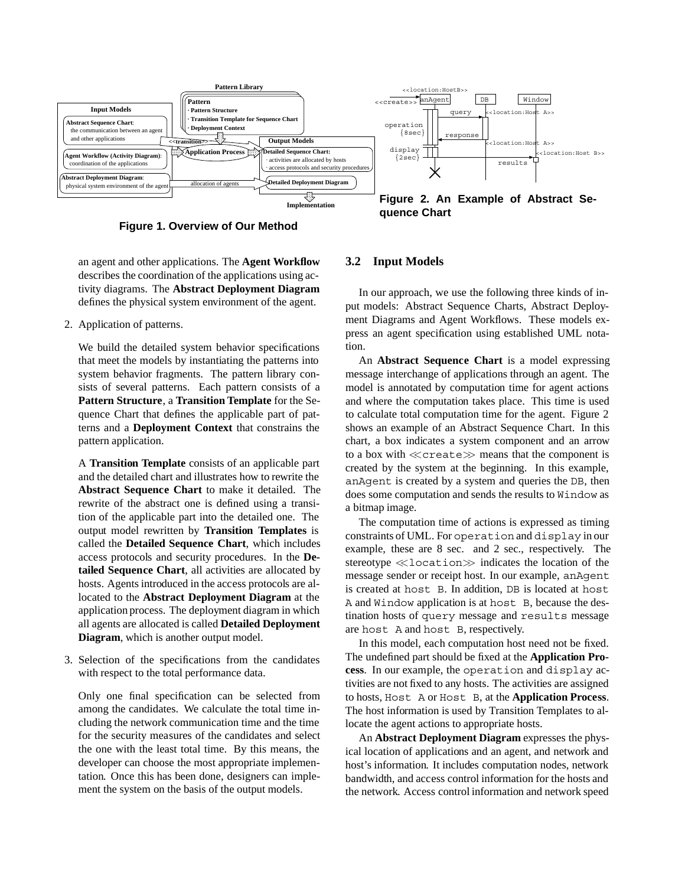

**Figure 1. Overview of Our Method**

an agent and other applications. The **Agent Workflow** describes the coordination of the applications using activity diagrams. The **Abstract Deployment Diagram** defines the physical system environment of the agent.

2. Application of patterns.

We build the detailed system behavior specifications that meet the models by instantiating the patterns into system behavior fragments. The pattern library consists of several patterns. Each pattern consists of a **Pattern Structure**, a **Transition Template** for the Sequence Chart that defines the applicable part of patterns and a **Deployment Context** that constrains the pattern application.

A **Transition Template** consists of an applicable part and the detailed chart and illustrates how to rewrite the **Abstract Sequence Chart** to make it detailed. The rewrite of the abstract one is defined using a transition of the applicable part into the detailed one. The output model rewritten by **Transition Templates** is called the **Detailed Sequence Chart**, which includes access protocols and security procedures. In the **Detailed Sequence Chart**, all activities are allocated by hosts. Agents introduced in the access protocols are allocated to the **Abstract Deployment Diagram** at the application process. The deployment diagram in which all agents are allocated is called **Detailed Deployment Diagram**, which is another output model.

3. Selection of the specifications from the candidates with respect to the total performance data.

Only one final specification can be selected from among the candidates. We calculate the total time including the network communication time and the time for the security measures of the candidates and select the one with the least total time. By this means, the developer can choose the most appropriate implementation. Once this has been done, designers can implement the system on the basis of the output models.

## **3.2 Input Models**

In our approach, we use the following three kinds of input models: Abstract Sequence Charts, Abstract Deployment Diagrams and Agent Workflows. These models express an agent specification using established UML notation.

An **Abstract Sequence Chart** is a model expressing message interchange of applications through an agent. The model is annotated by computation time for agent actions and where the computation takes place. This time is used to calculate total computation time for the agent. Figure 2 shows an example of an Abstract Sequence Chart. In this chart, a box indicates a system component and an arrow to a box with *<<*create*>>* means that the component is created by the system at the beginning. In this example, anAgent is created by a system and queries the DB, then does some computation and sends the results to Window as a bitmap image.

The computation time of actions is expressed as timing constraints of UML. For operation and display in our example, these are 8 sec. and 2 sec., respectively. The stereotype *<<*location*>>* indicates the location of the message sender or receipt host. In our example, anAgent is created at host B. In addition, DB is located at host A and Window application is at host B, because the destination hosts of query message and results message are host A and host B, respectively.

In this model, each computation host need not be fixed. The undefined part should be fixed at the **Application Process**. In our example, the operation and display activities are not fixed to any hosts. The activities are assigned to hosts, Host A or Host B, at the **Application Process**. The host information is used by Transition Templates to allocate the agent actions to appropriate hosts.

An **Abstract Deployment Diagram** expresses the physical location of applications and an agent, and network and host's information. It includes computation nodes, network bandwidth, and access control information for the hosts and the network. Access control information and network speed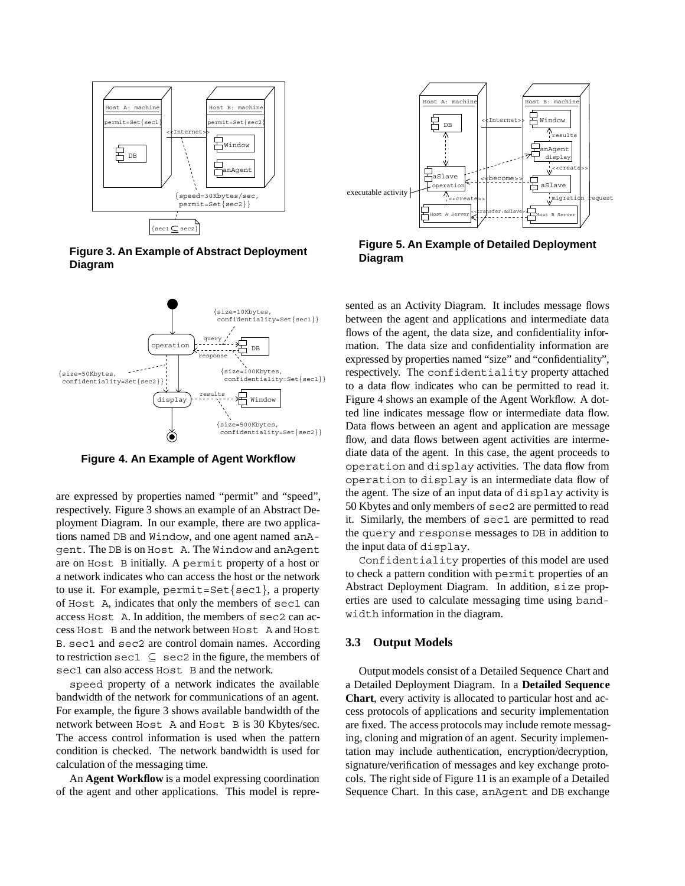

**Figure 3. An Example of Abstract Deployment Diagram**



**Figure 4. An Example of Agent Workflow**

are expressed by properties named "permit" and "speed", respectively. Figure 3 shows an example of an Abstract Deployment Diagram. In our example, there are two applications named DB and Window, and one agent named anAgent. The DB is on Host A. The Window and anAgent are on Host B initially. A permit property of a host or a network indicates who can access the host or the network to use it. For example, permit=Set{sec1}, a property of Host A, indicates that only the members of sec1 can access Host A. In addition, the members of sec2 can access Host B and the network between Host A and Host B. sec1 and sec2 are control domain names. According to restriction sec1  $\subseteq$  sec2 in the figure, the members of sec1 can also access Host B and the network.

speed property of a network indicates the available bandwidth of the network for communications of an agent. For example, the figure 3 shows available bandwidth of the network between Host A and Host B is 30 Kbytes/sec. The access control information is used when the pattern condition is checked. The network bandwidth is used for calculation of the messaging time.

An **Agent Workflow** is a model expressing coordination of the agent and other applications. This model is repre-



**Figure 5. An Example of Detailed Deployment Diagram**

sented as an Activity Diagram. It includes message flows between the agent and applications and intermediate data flows of the agent, the data size, and confidentiality information. The data size and confidentiality information are expressed by properties named "size" and "confidentiality", respectively. The confidentiality property attached to a data flow indicates who can be permitted to read it. Figure 4 shows an example of the Agent Workflow. A dotted line indicates message flow or intermediate data flow. Data flows between an agent and application are message flow, and data flows between agent activities are intermediate data of the agent. In this case, the agent proceeds to operation and display activities. The data flow from operation to display is an intermediate data flow of the agent. The size of an input data of display activity is 50 Kbytes and only members of sec2 are permitted to read it. Similarly, the members of sec1 are permitted to read the query and response messages to DB in addition to the input data of display.

Confidentiality properties of this model are used to check a pattern condition with permit properties of an Abstract Deployment Diagram. In addition, size properties are used to calculate messaging time using bandwidth information in the diagram.

## **3.3 Output Models**

Output models consist of a Detailed Sequence Chart and a Detailed Deployment Diagram. In a **Detailed Sequence Chart**, every activity is allocated to particular host and access protocols of applications and security implementation are fixed. The access protocols may include remote messaging, cloning and migration of an agent. Security implementation may include authentication, encryption/decryption, signature/verification of messages and key exchange protocols. The right side of Figure 11 is an example of a Detailed Sequence Chart. In this case, anAgent and DB exchange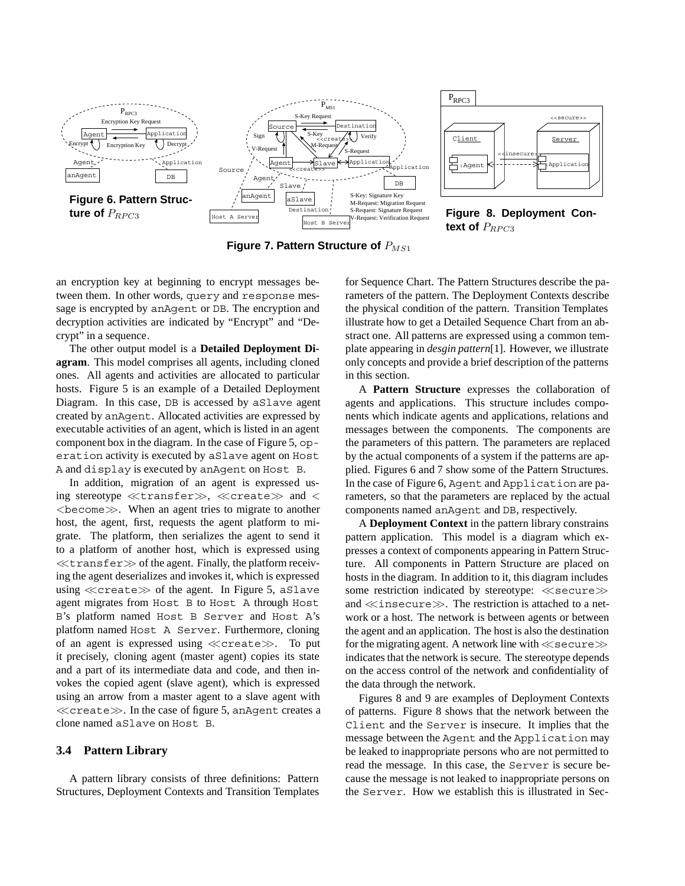

**Figure 7. Pattern Structure of**  $P_{MS1}$ 

an encryption key at beginning to encrypt messages between them. In other words, query and response message is encrypted by anAgent or DB. The encryption and decryption activities are indicated by "Encrypt" and "Decrypt" in a sequence.

The other output model is a **Detailed Deployment Diagram**. This model comprises all agents, including cloned ones. All agents and activities are allocated to particular hosts. Figure 5 is an example of a Detailed Deployment Diagram. In this case, DB is accessed by aSlave agent created by anAgent. Allocated activities are expressed by executable activities of an agent, which is listed in an agent component box in the diagram. In the case of Figure 5, operation activity is executed by aSlave agent on Host A and display is executed by anAgent on Host B.

In addition, migration of an agent is expressed using stereotype *<<*transfer*>>*, *<<*create*>>* and *< <*become*>>*. When an agent tries to migrate to another host, the agent, first, requests the agent platform to migrate. The platform, then serializes the agent to send it to a platform of another host, which is expressed using *<<*transfer*>>* of the agent. Finally, the platform receiving the agent deserializes and invokes it, which is expressed using *<<*create*>>* of the agent. In Figure 5, aSlave agent migrates from Host B to Host A through Host B's platform named Host B Server and Host A's platform named Host A Server. Furthermore, cloning of an agent is expressed using *<<*create*>>*. To put it precisely, cloning agent (master agent) copies its state and a part of its intermediate data and code, and then invokes the copied agent (slave agent), which is expressed using an arrow from a master agent to a slave agent with *<<*create*>>*. In the case of figure 5, anAgent creates a clone named aSlave on Host B.

## **3.4 Pattern Library**

A pattern library consists of three definitions: Pattern Structures, Deployment Contexts and Transition Templates for Sequence Chart. The Pattern Structures describe the parameters of the pattern. The Deployment Contexts describe the physical condition of the pattern. Transition Templates illustrate how to get a Detailed Sequence Chart from an abstract one. All patterns are expressed using a common template appearing in *desgin pattern*[1]. However, we illustrate only concepts and provide a brief description of the patterns in this section.

A **Pattern Structure** expresses the collaboration of agents and applications. This structure includes components which indicate agents and applications, relations and messages between the components. The components are the parameters of this pattern. The parameters are replaced by the actual components of a system if the patterns are applied. Figures 6 and 7 show some of the Pattern Structures. In the case of Figure 6, Agent and Application are parameters, so that the parameters are replaced by the actual components named anAgent and DB, respectively.

A **Deployment Context** in the pattern library constrains pattern application. This model is a diagram which expresses a context of components appearing in Pattern Structure. All components in Pattern Structure are placed on hosts in the diagram. In addition to it, this diagram includes some restriction indicated by stereotype: *<<*secure*>>* and *<<*insecure*>>*. The restriction is attached to a network or a host. The network is between agents or between the agent and an application. The host is also the destination for the migrating agent. A network line with *<<*secure*>>* indicates that the network is secure. The stereotype depends on the access control of the network and confidentiality of the data through the network.

Figures 8 and 9 are examples of Deployment Contexts of patterns. Figure 8 shows that the network between the Client and the Server is insecure. It implies that the message between the Agent and the Application may be leaked to inappropriate persons who are not permitted to read the message. In this case, the Server is secure because the message is not leaked to inappropriate persons on the Server. How we establish this is illustrated in Sec-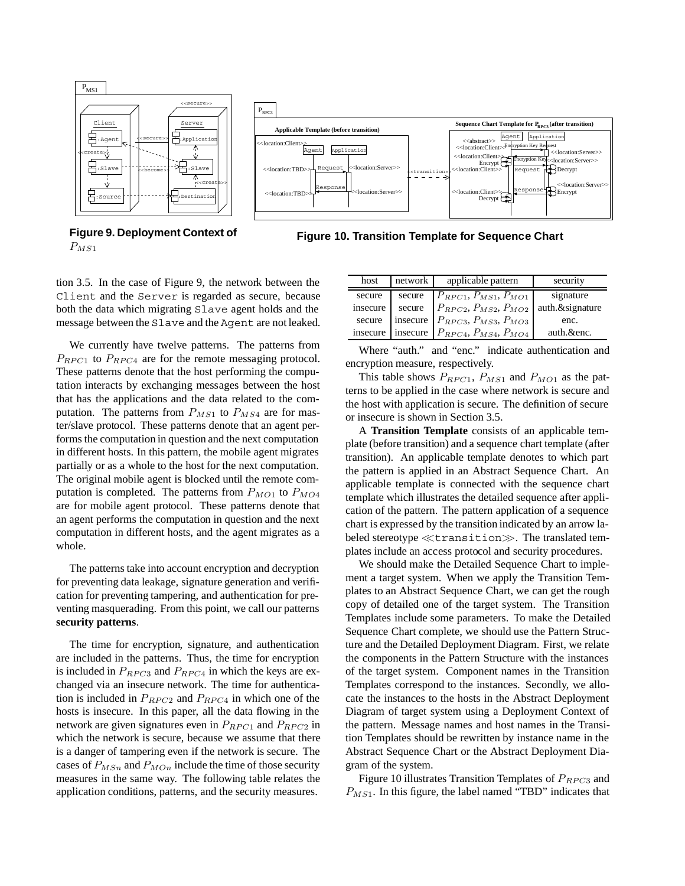

**Figure 9. Deployment Context of** *PMS*<sup>1</sup>

**Figure 10. Transition Template for Sequence Chart**

tion 3.5. In the case of Figure 9, the network between the Client and the Server is regarded as secure, because both the data which migrating Slave agent holds and the message between the Slave and the Agent are not leaked.

We currently have twelve patterns. The patterns from  $P_{RPC1}$  to  $P_{RPC4}$  are for the remote messaging protocol. These patterns denote that the host performing the computation interacts by exchanging messages between the host that has the applications and the data related to the computation. The patterns from  $P_{MS1}$  to  $P_{MS4}$  are for master/slave protocol. These patterns denote that an agent performs the computation in question and the next computation in different hosts. In this pattern, the mobile agent migrates partially or as a whole to the host for the next computation. The original mobile agent is blocked until the remote computation is completed. The patterns from  $P_{MO1}$  to  $P_{MO4}$ are for mobile agent protocol. These patterns denote that an agent performs the computation in question and the next computation in different hosts, and the agent migrates as a whole.

The patterns take into account encryption and decryption for preventing data leakage, signature generation and verification for preventing tampering, and authentication for preventing masquerading. From this point, we call our patterns **security patterns**.

The time for encryption, signature, and authentication are included in the patterns. Thus, the time for encryption is included in  $P_{RPC3}$  and  $P_{RPC4}$  in which the keys are exchanged via an insecure network. The time for authentication is included in  $P_{RPC2}$  and  $P_{RPC4}$  in which one of the hosts is insecure. In this paper, all the data flowing in the network are given signatures even in *PRP C*<sup>1</sup> and *PRP C*<sup>2</sup> in which the network is secure, because we assume that there is a danger of tampering even if the network is secure. The cases of  $P_{MSn}$  and  $P_{MOn}$  include the time of those security measures in the same way. The following table relates the application conditions, patterns, and the security measures.

| host     | network | applicable pattern                                       | security   |
|----------|---------|----------------------------------------------------------|------------|
| secure   | secure  | $P_{RPC1}, P_{MS1}, P_{MO1}$                             | signature  |
| insecure |         | secure $ P_{RPC2}, P_{MS2}, P_{MO2} $ auth. & signature  |            |
| secure   |         | insecure $P_{RPC3}$ , $P_{MS3}$ , $P_{MO3}$              | enc.       |
|          |         | insecure   insecure   $P_{RPC4}$ , $P_{MS4}$ , $P_{MO4}$ | auth.&enc. |

Where "auth." and "enc." indicate authentication and encryption measure, respectively.

This table shows *PRP C*1, *PMS*<sup>1</sup> and *PMO*<sup>1</sup> as the patterns to be applied in the case where network is secure and the host with application is secure. The definition of secure or insecure is shown in Section 3.5.

A **Transition Template** consists of an applicable template (before transition) and a sequence chart template (after transition). An applicable template denotes to which part the pattern is applied in an Abstract Sequence Chart. An applicable template is connected with the sequence chart template which illustrates the detailed sequence after application of the pattern. The pattern application of a sequence chart is expressed by the transition indicated by an arrow labeled stereotype *<<*transition*>>*. The translated templates include an access protocol and security procedures.

We should make the Detailed Sequence Chart to implement a target system. When we apply the Transition Templates to an Abstract Sequence Chart, we can get the rough copy of detailed one of the target system. The Transition Templates include some parameters. To make the Detailed Sequence Chart complete, we should use the Pattern Structure and the Detailed Deployment Diagram. First, we relate the components in the Pattern Structure with the instances of the target system. Component names in the Transition Templates correspond to the instances. Secondly, we allocate the instances to the hosts in the Abstract Deployment Diagram of target system using a Deployment Context of the pattern. Message names and host names in the Transition Templates should be rewritten by instance name in the Abstract Sequence Chart or the Abstract Deployment Diagram of the system.

Figure 10 illustrates Transition Templates of  $P_{RPC3}$  and *PMS*1. In this figure, the label named "TBD" indicates that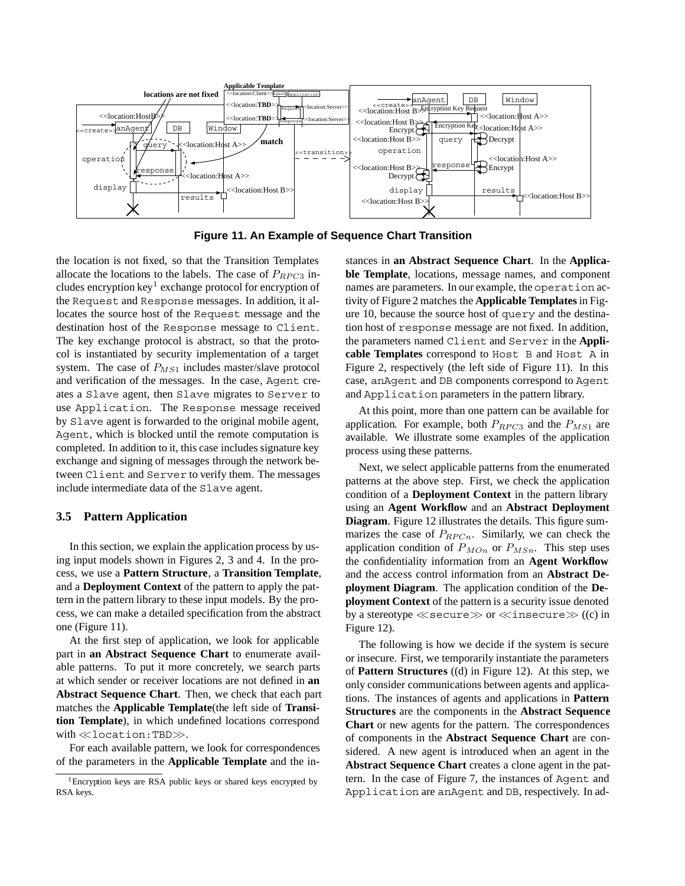

**Figure 11. An Example of Sequence Chart Transition**

the location is not fixed, so that the Transition Templates allocate the locations to the labels. The case of  $P_{RPC3}$  includes encryption key<sup>1</sup> exchange protocol for encryption of the Request and Response messages. In addition, it allocates the source host of the Request message and the destination host of the Response message to Client. The key exchange protocol is abstract, so that the protocol is instantiated by security implementation of a target system. The case of *PMS*<sup>1</sup> includes master/slave protocol and verification of the messages. In the case, Agent creates a Slave agent, then Slave migrates to Server to use Application. The Response message received by Slave agent is forwarded to the original mobile agent, Agent, which is blocked until the remote computation is completed. In addition to it, this case includes signature key exchange and signing of messages through the network between Client and Server to verify them. The messages include intermediate data of the Slave agent.

## **3.5 Pattern Application**

In this section, we explain the application process by using input models shown in Figures 2, 3 and 4. In the process, we use a **Pattern Structure**, a **Transition Template**, and a **Deployment Context** of the pattern to apply the pattern in the pattern library to these input models. By the process, we can make a detailed specification from the abstract one (Figure 11).

At the first step of application, we look for applicable part in **an Abstract Sequence Chart** to enumerate available patterns. To put it more concretely, we search parts at which sender or receiver locations are not defined in **an Abstract Sequence Chart**. Then, we check that each part matches the **Applicable Template**(the left side of **Transition Template**), in which undefined locations correspond with *<<*location:TBD*>>*.

For each available pattern, we look for correspondences of the parameters in the **Applicable Template** and the instances in **an Abstract Sequence Chart**. In the **Applicable Template**, locations, message names, and component names are parameters. In our example, the operation activity of Figure 2 matches the **Applicable Templates**in Figure 10, because the source host of query and the destination host of response message are not fixed. In addition, the parameters named Client and Server in the **Applicable Templates** correspond to Host B and Host A in Figure 2, respectively (the left side of Figure 11). In this case, anAgent and DB components correspond to Agent and Application parameters in the pattern library.

At this point, more than one pattern can be available for application. For example, both  $P_{RPC3}$  and the  $P_{MS1}$  are available. We illustrate some examples of the application process using these patterns.

Next, we select applicable patterns from the enumerated patterns at the above step. First, we check the application condition of a **Deployment Context** in the pattern library using an **Agent Workflow** and an **Abstract Deployment Diagram**. Figure 12 illustrates the details. This figure summarizes the case of  $P_{RPCn}$ . Similarly, we can check the application condition of *PMOn* or *PMSn*. This step uses the confidentiality information from an **Agent Workflow** and the access control information from an **Abstract Deployment Diagram**. The application condition of the **Deployment Context** of the pattern is a security issue denoted by a stereotype *<<*secure*>>* or *<<*insecure*>>* ((c) in Figure 12).

The following is how we decide if the system is secure or insecure. First, we temporarily instantiate the parameters of **Pattern Structures** ((d) in Figure 12). At this step, we only consider communications between agents and applications. The instances of agents and applications in **Pattern Structures** are the components in the **Abstract Sequence Chart** or new agents for the pattern. The correspondences of components in the **Abstract Sequence Chart** are considered. A new agent is introduced when an agent in the **Abstract Sequence Chart** creates a clone agent in the pattern. In the case of Figure 7, the instances of Agent and Application are anAgent and DB, respectively. In ad-

<sup>1</sup>Encryption keys are RSA public keys or shared keys encrypted by RSA keys.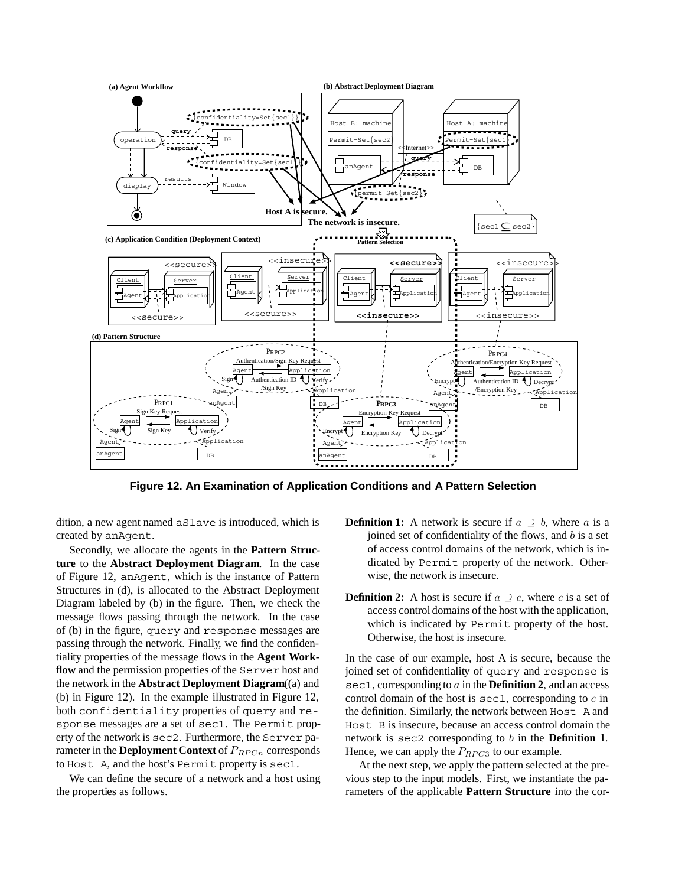

**Figure 12. An Examination of Application Conditions and A Pattern Selection**

dition, a new agent named aSlave is introduced, which is created by anAgent.

Secondly, we allocate the agents in the **Pattern Structure** to the **Abstract Deployment Diagram**. In the case of Figure 12, anAgent, which is the instance of Pattern Structures in (d), is allocated to the Abstract Deployment Diagram labeled by (b) in the figure. Then, we check the message flows passing through the network. In the case of (b) in the figure, query and response messages are passing through the network. Finally, we find the confidentiality properties of the message flows in the **Agent Workflow** and the permission properties of the Server host and the network in the **Abstract Deployment Diagram**((a) and (b) in Figure 12). In the example illustrated in Figure 12, both confidentiality properties of query and response messages are a set of sec1. The Permit property of the network is sec2. Furthermore, the Server parameter in the **Deployment Context** of  $P_{RPCn}$  corresponds to Host A, and the host's Permit property is sec1.

We can define the secure of a network and a host using the properties as follows.

- **Definition 1:** A network is secure if  $a \supseteq b$ , where *a* is a joined set of confidentiality of the flows, and *b* is a set of access control domains of the network, which is indicated by Permit property of the network. Otherwise, the network is insecure.
- **Definition 2:** A host is secure if  $a \supseteq c$ , where *c* is a set of access control domains of the host with the application, which is indicated by Permit property of the host. Otherwise, the host is insecure.

In the case of our example, host A is secure, because the joined set of confidentiality of query and response is sec1, corresponding to *a* in the **Definition 2**, and an access control domain of the host is sec1, corresponding to *c* in the definition. Similarly, the network between Host A and Host B is insecure, because an access control domain the network is sec2 corresponding to *b* in the **Definition 1**. Hence, we can apply the  $P_{RPC3}$  to our example.

At the next step, we apply the pattern selected at the previous step to the input models. First, we instantiate the parameters of the applicable **Pattern Structure** into the cor-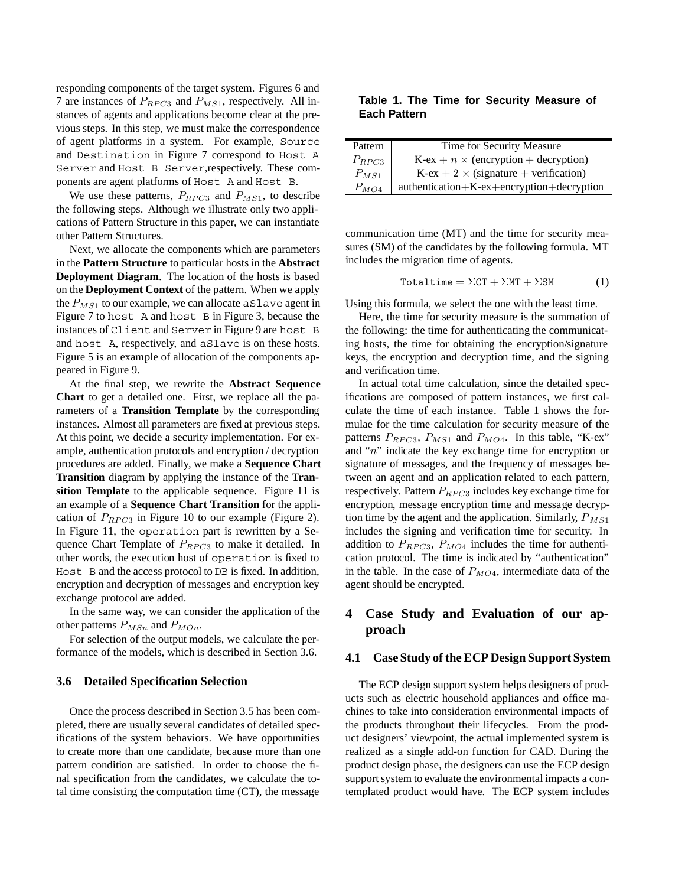responding components of the target system. Figures 6 and 7 are instances of *PRP C*<sup>3</sup> and *PMS*1, respectively. All instances of agents and applications become clear at the previous steps. In this step, we must make the correspondence of agent platforms in a system. For example, Source and Destination in Figure 7 correspond to Host A Server and Host B Server,respectively. These components are agent platforms of Host A and Host B.

We use these patterns,  $P_{RPC3}$  and  $P_{MS1}$ , to describe the following steps. Although we illustrate only two applications of Pattern Structure in this paper, we can instantiate other Pattern Structures.

Next, we allocate the components which are parameters in the **Pattern Structure** to particular hosts in the **Abstract Deployment Diagram**. The location of the hosts is based on the **Deployment Context** of the pattern. When we apply the  $P_{MS1}$  to our example, we can allocate  $\alpha$ Slave agent in Figure 7 to host A and host B in Figure 3, because the instances of Client and Server in Figure 9 are host B and host A, respectively, and aSlave is on these hosts. Figure 5 is an example of allocation of the components appeared in Figure 9.

At the final step, we rewrite the **Abstract Sequence Chart** to get a detailed one. First, we replace all the parameters of a **Transition Template** by the corresponding instances. Almost all parameters are fixed at previous steps. At this point, we decide a security implementation. For example, authentication protocols and encryption / decryption procedures are added. Finally, we make a **Sequence Chart Transition** diagram by applying the instance of the **Transition Template** to the applicable sequence. Figure 11 is an example of a **Sequence Chart Transition** for the application of  $P_{RPC3}$  in Figure 10 to our example (Figure 2). In Figure 11, the operation part is rewritten by a Sequence Chart Template of  $P_{RPC3}$  to make it detailed. In other words, the execution host of operation is fixed to Host B and the access protocol to DB is fixed. In addition, encryption and decryption of messages and encryption key exchange protocol are added.

In the same way, we can consider the application of the other patterns  $P_{MSn}$  and  $P_{MOn}$ .

For selection of the output models, we calculate the performance of the models, which is described in Section 3.6.

## **3.6 Detailed Specification Selection**

Once the process described in Section 3.5 has been completed, there are usually several candidates of detailed specifications of the system behaviors. We have opportunities to create more than one candidate, because more than one pattern condition are satisfied. In order to choose the final specification from the candidates, we calculate the total time consisting the computation time (CT), the message

#### **Table 1. The Time for Security Measure of Each Pattern**

| Pattern    | Time for Security Measure                    |  |  |
|------------|----------------------------------------------|--|--|
| $P_{RPC3}$ | $K-ex + n \times$ (encryption + decryption)  |  |  |
| $P_{MS1}$  | $K-ex + 2 \times (signature + verification)$ |  |  |
| $P_{MO4}$  | authentication+K-ex+encryption+decryption    |  |  |

communication time (MT) and the time for security measures (SM) of the candidates by the following formula. MT includes the migration time of agents.

$$
Totaltime = \Sigma CT + \Sigma MT + \Sigma SM \tag{1}
$$

Using this formula, we select the one with the least time.

Here, the time for security measure is the summation of the following: the time for authenticating the communicating hosts, the time for obtaining the encryption/signature keys, the encryption and decryption time, and the signing and verification time.

In actual total time calculation, since the detailed specifications are composed of pattern instances, we first calculate the time of each instance. Table 1 shows the formulae for the time calculation for security measure of the patterns  $P_{RPC3}$ ,  $P_{MS1}$  and  $P_{MO4}$ . In this table, "K-ex" and "*n*" indicate the key exchange time for encryption or signature of messages, and the frequency of messages between an agent and an application related to each pattern, respectively. Pattern  $P_{RPC3}$  includes key exchange time for encryption, message encryption time and message decryption time by the agent and the application. Similarly, *P MS*<sup>1</sup> includes the signing and verification time for security. In addition to  $P_{RPC3}$ ,  $P_{MO4}$  includes the time for authentication protocol. The time is indicated by "authentication" in the table. In the case of *PMO*4, intermediate data of the agent should be encrypted.

# **4 Case Study and Evaluation of our approach**

## **4.1 Case Study of the ECP Design Support System**

The ECP design support system helps designers of products such as electric household appliances and office machines to take into consideration environmental impacts of the products throughout their lifecycles. From the product designers' viewpoint, the actual implemented system is realized as a single add-on function for CAD. During the product design phase, the designers can use the ECP design support system to evaluate the environmental impacts a contemplated product would have. The ECP system includes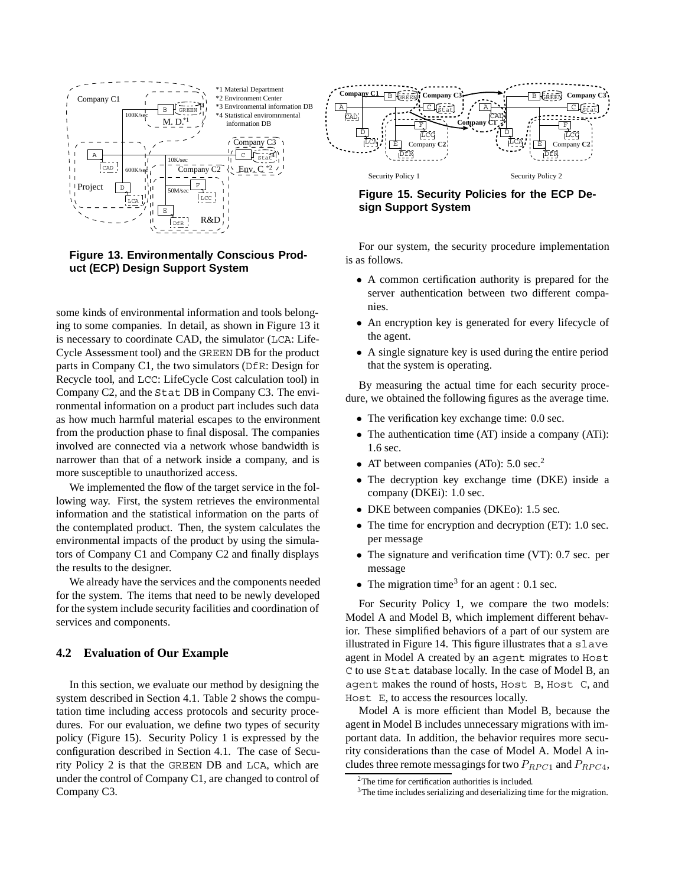

**Figure 13. Environmentally Conscious Product (ECP) Design Support System**

some kinds of environmental information and tools belonging to some companies. In detail, as shown in Figure 13 it is necessary to coordinate CAD, the simulator (LCA: Life-Cycle Assessment tool) and the GREEN DB for the product parts in Company C1, the two simulators (DfR: Design for Recycle tool, and LCC: LifeCycle Cost calculation tool) in Company C2, and the Stat DB in Company C3. The environmental information on a product part includes such data as how much harmful material escapes to the environment from the production phase to final disposal. The companies involved are connected via a network whose bandwidth is narrower than that of a network inside a company, and is more susceptible to unauthorized access.

We implemented the flow of the target service in the following way. First, the system retrieves the environmental information and the statistical information on the parts of the contemplated product. Then, the system calculates the environmental impacts of the product by using the simulators of Company C1 and Company C2 and finally displays the results to the designer.

We already have the services and the components needed for the system. The items that need to be newly developed for the system include security facilities and coordination of services and components.

## **4.2 Evaluation of Our Example**

In this section, we evaluate our method by designing the system described in Section 4.1. Table 2 shows the computation time including access protocols and security procedures. For our evaluation, we define two types of security policy (Figure 15). Security Policy 1 is expressed by the configuration described in Section 4.1. The case of Security Policy 2 is that the GREEN DB and LCA, which are under the control of Company C1, are changed to control of Company C3.



## **Figure 15. Security Policies for the ECP Design Support System**

For our system, the security procedure implementation is as follows.

- A common certification authority is prepared for the server authentication between two different companies.
- An encryption key is generated for every lifecycle of the agent.
- A single signature key is used during the entire period that the system is operating.

By measuring the actual time for each security procedure, we obtained the following figures as the average time.

- The verification key exchange time: 0.0 sec.
- The authentication time (AT) inside a company (ATi): 1.6 sec.
- AT between companies (ATo): 5.0 sec.<sup>2</sup>
- The decryption key exchange time (DKE) inside a company (DKEi): 1.0 sec.
- DKE between companies (DKEo): 1.5 sec.
- The time for encryption and decryption (ET): 1.0 sec. per message
- The signature and verification time (VT): 0.7 sec. per message
- The migration time<sup>3</sup> for an agent : 0.1 sec.

For Security Policy 1, we compare the two models: Model A and Model B, which implement different behavior. These simplified behaviors of a part of our system are illustrated in Figure 14. This figure illustrates that a slave agent in Model A created by an agent migrates to Host C to use Stat database locally. In the case of Model B, an agent makes the round of hosts, Host B, Host C, and Host E, to access the resources locally.

Model A is more efficient than Model B, because the agent in Model B includes unnecessary migrations with important data. In addition, the behavior requires more security considerations than the case of Model A. Model A includes three remote messagings for two  $P_{RPC1}$  and  $P_{RPC4}$ ,

<sup>2</sup>The time for certification authorities is included.

<sup>&</sup>lt;sup>3</sup>The time includes serializing and deserializing time for the migration.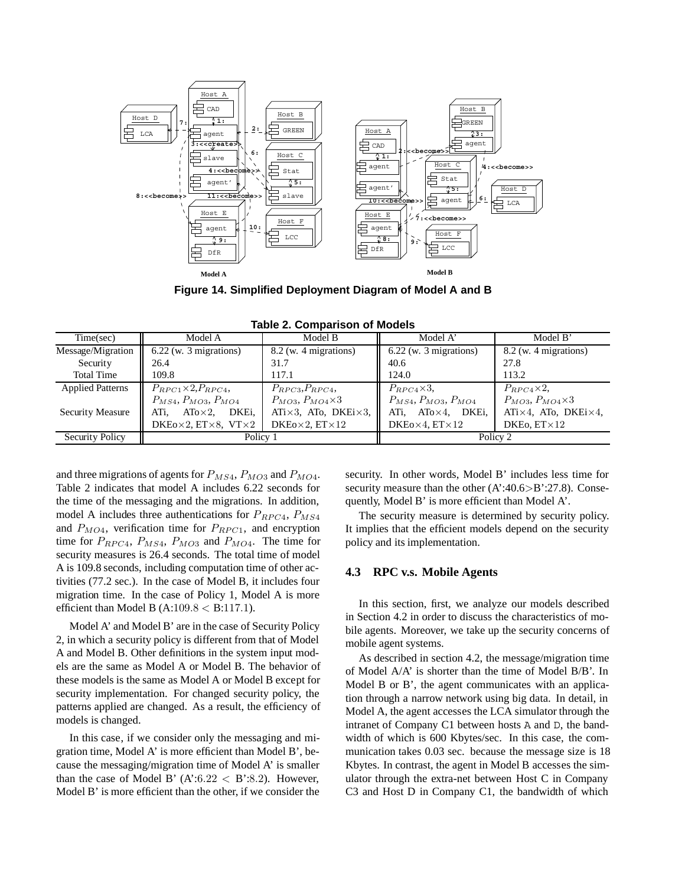

**Figure 14. Simplified Deployment Diagram of Model A and B**

| Time(sec)               | Model A                                       | Model B                               | Model A'                        | Model B'                                 |  |  |
|-------------------------|-----------------------------------------------|---------------------------------------|---------------------------------|------------------------------------------|--|--|
| Message/Migration       | $6.22$ (w. 3 migrations)                      | 8.2 (w. 4 migrations)                 | $6.22$ (w. 3 migrations)        | 8.2 (w. 4 migrations)                    |  |  |
| Security                | 26.4                                          | 31.7                                  | 40.6                            | 27.8                                     |  |  |
| <b>Total Time</b>       | 109.8                                         | 117.1                                 | 124.0                           | 113.2                                    |  |  |
| <b>Applied Patterns</b> | $P_{RPC1} \times 2, P_{RPC4}$                 | $P_{RPC3}, P_{RPC4},$                 | $P_{RPC4}\times 3$ ,            | $P_{RPC4} \times 2$ ,                    |  |  |
|                         | $P_{MS4}, P_{MO3}, P_{MO4}$                   | $P_{MO3}, P_{MO4}\times3$             | $P_{MS4}, P_{MO3}, P_{MO4}$     | $P_{MO3}, P_{MO4}\times3$                |  |  |
| Security Measure        | DKEi,<br>$A$ To $\times 2$ ,<br>ATi.          | ATi $\times$ 3, ATo, DKEi $\times$ 3, | DKEi,<br>ATi, $ATo \times 4$ ,  | $ATi \times 4$ , ATo, DKE $i \times 4$ , |  |  |
|                         | DKEo $\times$ 2, ET $\times$ 8, VT $\times$ 2 | DKEo $\times$ 2, ET $\times$ 12       | DKEo $\times$ 4, ET $\times$ 12 | DKE <sub>o</sub> , $ET \times 12$        |  |  |
| Security Policy         | Policy 1                                      |                                       | Policy 2                        |                                          |  |  |

**Table 2. Comparison of Models**

and three migrations of agents for  $P_{MS4}$ ,  $P_{MO3}$  and  $P_{MO4}$ . Table 2 indicates that model A includes 6.22 seconds for the time of the messaging and the migrations. In addition, model A includes three authentications for  $P_{RPC4}$ ,  $P_{MS4}$ and *P<sub>MO4</sub>*, verification time for *P<sub>RPC1</sub>*, and encryption time for  $P_{RPCA}$ ,  $P_{MS4}$ ,  $P_{MO3}$  and  $P_{MO4}$ . The time for security measures is 26.4 seconds. The total time of model A is 109.8 seconds, including computation time of other activities (77.2 sec.). In the case of Model B, it includes four migration time. In the case of Policy 1, Model A is more efficient than Model B (A:109*.*8 *<* B:117*.*1).

Model A' and Model B' are in the case of Security Policy 2, in which a security policy is different from that of Model A and Model B. Other definitions in the system input models are the same as Model A or Model B. The behavior of these models is the same as Model A or Model B except for security implementation. For changed security policy, the patterns applied are changed. As a result, the efficiency of models is changed.

In this case, if we consider only the messaging and migration time, Model A' is more efficient than Model B', because the messaging/migration time of Model A' is smaller than the case of Model B'  $(A:6.22 < B:8.2)$ . However, Model B' is more efficient than the other, if we consider the security. In other words, Model B' includes less time for security measure than the other  $(A':40.6>B':27.8)$ . Consequently, Model B' is more efficient than Model A'.

The security measure is determined by security policy. It implies that the efficient models depend on the security policy and its implementation.

## **4.3 RPC v.s. Mobile Agents**

In this section, first, we analyze our models described in Section 4.2 in order to discuss the characteristics of mobile agents. Moreover, we take up the security concerns of mobile agent systems.

As described in section 4.2, the message/migration time of Model A/A' is shorter than the time of Model B/B'. In Model B or B', the agent communicates with an application through a narrow network using big data. In detail, in Model A, the agent accesses the LCA simulator through the intranet of Company C1 between hosts A and D, the bandwidth of which is 600 Kbytes/sec. In this case, the communication takes 0.03 sec. because the message size is 18 Kbytes. In contrast, the agent in Model B accesses the simulator through the extra-net between Host C in Company C3 and Host D in Company C1, the bandwidth of which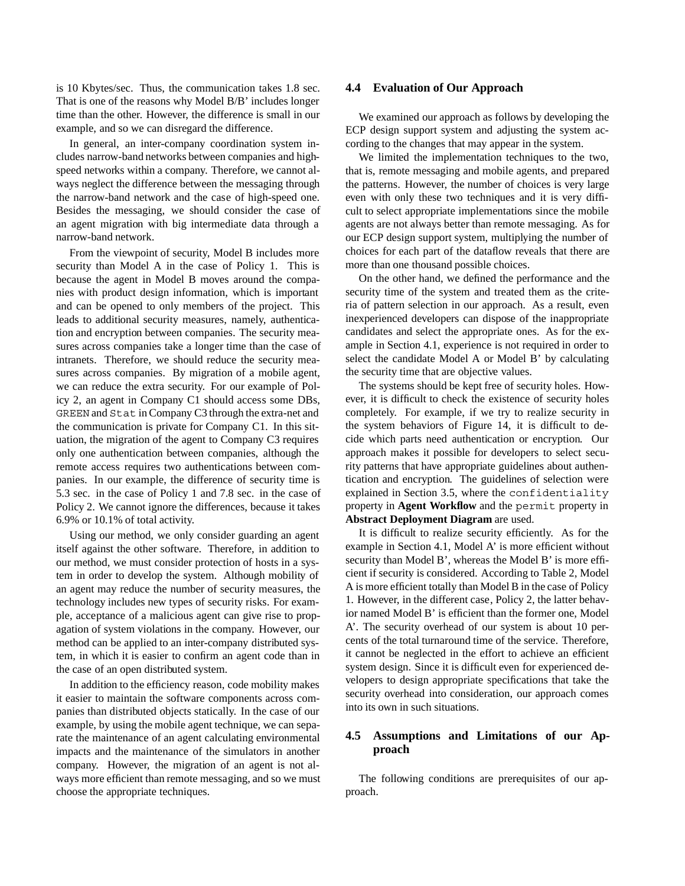is 10 Kbytes/sec. Thus, the communication takes 1.8 sec. That is one of the reasons why Model B/B' includes longer time than the other. However, the difference is small in our example, and so we can disregard the difference.

In general, an inter-company coordination system includes narrow-band networks between companies and highspeed networks within a company. Therefore, we cannot always neglect the difference between the messaging through the narrow-band network and the case of high-speed one. Besides the messaging, we should consider the case of an agent migration with big intermediate data through a narrow-band network.

From the viewpoint of security, Model B includes more security than Model A in the case of Policy 1. This is because the agent in Model B moves around the companies with product design information, which is important and can be opened to only members of the project. This leads to additional security measures, namely, authentication and encryption between companies. The security measures across companies take a longer time than the case of intranets. Therefore, we should reduce the security measures across companies. By migration of a mobile agent, we can reduce the extra security. For our example of Policy 2, an agent in Company C1 should access some DBs, GREEN and Stat in Company C3 through the extra-net and the communication is private for Company C1. In this situation, the migration of the agent to Company C3 requires only one authentication between companies, although the remote access requires two authentications between companies. In our example, the difference of security time is 5.3 sec. in the case of Policy 1 and 7.8 sec. in the case of Policy 2. We cannot ignore the differences, because it takes 6.9% or 10.1% of total activity.

Using our method, we only consider guarding an agent itself against the other software. Therefore, in addition to our method, we must consider protection of hosts in a system in order to develop the system. Although mobility of an agent may reduce the number of security measures, the technology includes new types of security risks. For example, acceptance of a malicious agent can give rise to propagation of system violations in the company. However, our method can be applied to an inter-company distributed system, in which it is easier to confirm an agent code than in the case of an open distributed system.

In addition to the efficiency reason, code mobility makes it easier to maintain the software components across companies than distributed objects statically. In the case of our example, by using the mobile agent technique, we can separate the maintenance of an agent calculating environmental impacts and the maintenance of the simulators in another company. However, the migration of an agent is not always more efficient than remote messaging, and so we must choose the appropriate techniques.

#### **4.4 Evaluation of Our Approach**

We examined our approach as follows by developing the ECP design support system and adjusting the system according to the changes that may appear in the system.

We limited the implementation techniques to the two, that is, remote messaging and mobile agents, and prepared the patterns. However, the number of choices is very large even with only these two techniques and it is very difficult to select appropriate implementations since the mobile agents are not always better than remote messaging. As for our ECP design support system, multiplying the number of choices for each part of the dataflow reveals that there are more than one thousand possible choices.

On the other hand, we defined the performance and the security time of the system and treated them as the criteria of pattern selection in our approach. As a result, even inexperienced developers can dispose of the inappropriate candidates and select the appropriate ones. As for the example in Section 4.1, experience is not required in order to select the candidate Model A or Model B' by calculating the security time that are objective values.

The systems should be kept free of security holes. However, it is difficult to check the existence of security holes completely. For example, if we try to realize security in the system behaviors of Figure 14, it is difficult to decide which parts need authentication or encryption. Our approach makes it possible for developers to select security patterns that have appropriate guidelines about authentication and encryption. The guidelines of selection were explained in Section 3.5, where the confidentiality property in **Agent Workflow** and the permit property in **Abstract Deployment Diagram** are used.

It is difficult to realize security efficiently. As for the example in Section 4.1, Model A' is more efficient without security than Model B', whereas the Model B' is more efficient if security is considered. According to Table 2, Model A is more efficient totally than Model B in the case of Policy 1. However, in the different case, Policy 2, the latter behavior named Model B' is efficient than the former one, Model A'. The security overhead of our system is about 10 percents of the total turnaround time of the service. Therefore, it cannot be neglected in the effort to achieve an efficient system design. Since it is difficult even for experienced developers to design appropriate specifications that take the security overhead into consideration, our approach comes into its own in such situations.

## **4.5 Assumptions and Limitations of our Approach**

The following conditions are prerequisites of our approach.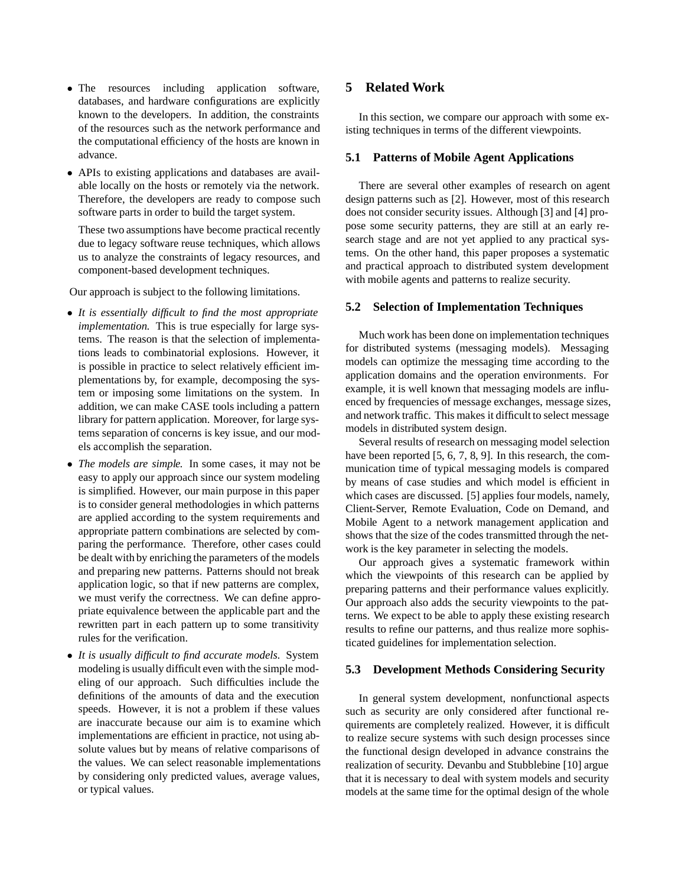- The resources including application software, databases, and hardware configurations are explicitly known to the developers. In addition, the constraints of the resources such as the network performance and the computational efficiency of the hosts are known in advance.
- APIs to existing applications and databases are available locally on the hosts or remotely via the network. Therefore, the developers are ready to compose such software parts in order to build the target system.

These two assumptions have become practical recently due to legacy software reuse techniques, which allows us to analyze the constraints of legacy resources, and component-based development techniques.

Our approach is subject to the following limitations.

- *It is essentially difficult to find the most appropriate implementation.* This is true especially for large systems. The reason is that the selection of implementations leads to combinatorial explosions. However, it is possible in practice to select relatively efficient implementations by, for example, decomposing the system or imposing some limitations on the system. In addition, we can make CASE tools including a pattern library for pattern application. Moreover, for large systems separation of concerns is key issue, and our models accomplish the separation.
- *The models are simple.* In some cases, it may not be easy to apply our approach since our system modeling is simplified. However, our main purpose in this paper is to consider general methodologies in which patterns are applied according to the system requirements and appropriate pattern combinations are selected by comparing the performance. Therefore, other cases could be dealt with by enriching the parameters of the models and preparing new patterns. Patterns should not break application logic, so that if new patterns are complex, we must verify the correctness. We can define appropriate equivalence between the applicable part and the rewritten part in each pattern up to some transitivity rules for the verification.
- *It is usually difficult to find accurate models.* System modeling is usually difficult even with the simple modeling of our approach. Such difficulties include the definitions of the amounts of data and the execution speeds. However, it is not a problem if these values are inaccurate because our aim is to examine which implementations are efficient in practice, not using absolute values but by means of relative comparisons of the values. We can select reasonable implementations by considering only predicted values, average values, or typical values.

## **5 Related Work**

In this section, we compare our approach with some existing techniques in terms of the different viewpoints.

#### **5.1 Patterns of Mobile Agent Applications**

There are several other examples of research on agent design patterns such as [2]. However, most of this research does not consider security issues. Although [3] and [4] propose some security patterns, they are still at an early research stage and are not yet applied to any practical systems. On the other hand, this paper proposes a systematic and practical approach to distributed system development with mobile agents and patterns to realize security.

## **5.2 Selection of Implementation Techniques**

Much work has been done on implementation techniques for distributed systems (messaging models). Messaging models can optimize the messaging time according to the application domains and the operation environments. For example, it is well known that messaging models are influenced by frequencies of message exchanges, message sizes, and network traffic. This makes it difficult to select message models in distributed system design.

Several results of research on messaging model selection have been reported [5, 6, 7, 8, 9]. In this research, the communication time of typical messaging models is compared by means of case studies and which model is efficient in which cases are discussed. [5] applies four models, namely, Client-Server, Remote Evaluation, Code on Demand, and Mobile Agent to a network management application and shows that the size of the codes transmitted through the network is the key parameter in selecting the models.

Our approach gives a systematic framework within which the viewpoints of this research can be applied by preparing patterns and their performance values explicitly. Our approach also adds the security viewpoints to the patterns. We expect to be able to apply these existing research results to refine our patterns, and thus realize more sophisticated guidelines for implementation selection.

## **5.3 Development Methods Considering Security**

In general system development, nonfunctional aspects such as security are only considered after functional requirements are completely realized. However, it is difficult to realize secure systems with such design processes since the functional design developed in advance constrains the realization of security. Devanbu and Stubblebine [10] argue that it is necessary to deal with system models and security models at the same time for the optimal design of the whole